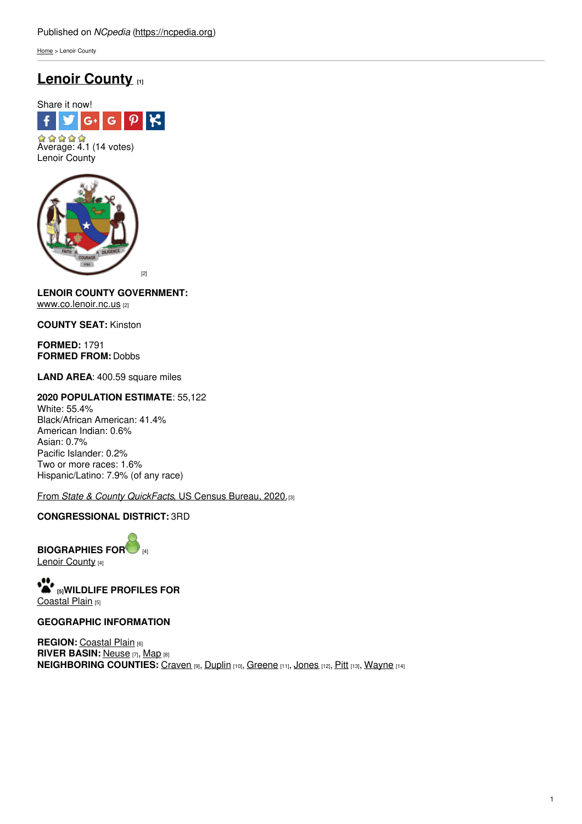[Home](https://ncpedia.org/) > Lenoir County

# **Lenoir [County](https://ncpedia.org/geography/lenoir) [1]**





## **LENOIR COUNTY GOVERNMENT:** [www.co.lenoir.nc.us](https://lenoircountync.gov/) [2]

**COUNTY SEAT:** Kinston

**FORMED:** 1791 **FORMED FROM:** Dobbs

**LAND AREA**: 400.59 square miles

## **2020 POPULATION ESTIMATE**: 55,122

White: 55.4% Black/African American: 41.4% American Indian: 0.6% Asian: 0.7% Pacific Islander: 0.2% Two or more races: 1.6% Hispanic/Latino: 7.9% (of any race)

From *State & County [QuickFacts](https://www.census.gov/quickfacts/fact/table/lenoircountynorthcarolina/POP010220)*, US Census Bureau, 2020.[3]

## **CONGRESSIONAL DISTRICT:** 3RD

**BIOGRAPHIES FO[R](https://ncpedia.org/geography/lenoir-county/biography)** [4] Lenoir [County](https://ncpedia.org/geography/lenoir-county/biography) [4]

**[5]WILDLIFE PROFILES FOR** [Coastal](https://ncpedia.org/wildlife/coastal-plain) Plain [5]

#### **GEOGRAPHIC INFORMATION**

**REGION:** [Coastal](https://ncpedia.org/geography/region/coastal-plain) Plain [6] **RIVER BASIN:** [Neuse](https://files.nc.gov/deqee/documents/files/neuse.pdf) [7], [Map](https://ncdenr.maps.arcgis.com/apps/PublicInformation/index.html?appid=f82f583438e74bf29adcc76247381eee) [8] **NEIGHBORING COUNTIES:** [Craven](https://ncpedia.org/geography/craven) [9], [Duplin](https://ncpedia.org/geography/duplin) [10], [Greene](https://ncpedia.org/geography/greene) [11], [Jones](https://ncpedia.org/geography/jones) [12], [Pitt](https://ncpedia.org/geography/pitt) [13], [Wayne](https://ncpedia.org/geography/wayne) [14]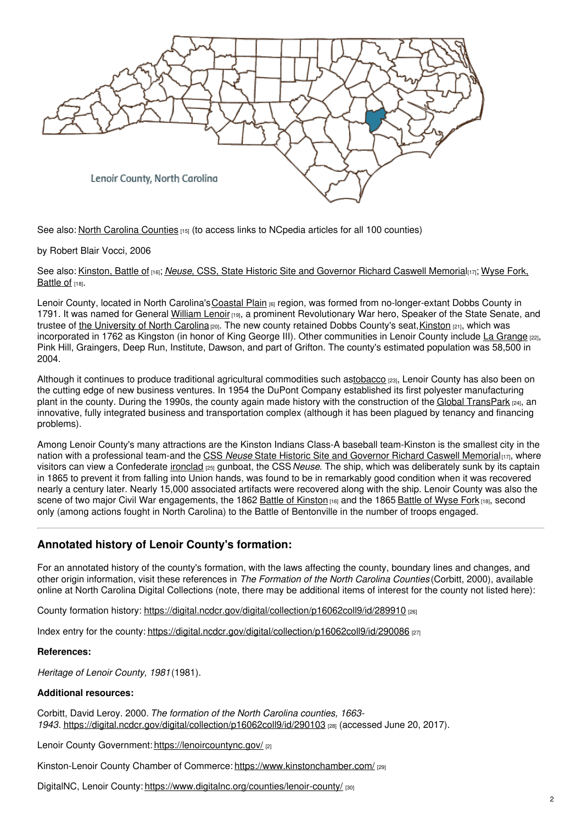

See also: North Carolina [Counties](https://www.ncpedia.org/geography/counties) [15] (to access links to NCpedia articles for all 100 counties)

by Robert Blair Vocci, 2006

See also: [Kinston,](https://ncpedia.org/kinston-battle) Battle of [16]; *Neuse*, CSS, State Historic Site and [Governor](https://ncpedia.org/wyse-fork-battle) Richard Caswell Memorial[17]; Wyse Fork, Battle of [18].

Lenoir County, located in North Carolina's [Coastal](https://ncpedia.org/geography/region/coastal-plain) Plain [6] region, was formed from no-longer-extant Dobbs County in 1791. It was named for General [William](https://ncpedia.org/biography/lenoir-william) Lenoir [19], a prominent Revolutionary War hero, Speaker of the State Senate, and trustee of the [University](https://ncpedia.org/university-north-carolina-chapel-hi) of North Carolina [20]. The new county retained Dobbs County's seat, Kinston [21], which was incorporated in 1762 as Kingston (in honor of King George III). Other communities in Lenoir County include La [Grange](http://lagrangenc.com/) [22], Pink Hill, Graingers, Deep Run, Institute, Dawson, and part of Grifton. The county's estimated population was 58,500 in 2004.

Although it continues to produce traditional agricultural commodities such a[stobacco](https://ncpedia.org/tobacco) [23], Lenoir County has also been on the cutting edge of new business ventures. In 1954 the DuPont Company established its first polyester manufacturing plant in the county. During the 1990s, the county again made history with the construction of the Global [TransPark](http://www.ncgtp.com/) [24], an innovative, fully integrated business and transportation complex (although it has been plagued by tenancy and financing problems).

Among Lenoir County's many attractions are the Kinston Indians Class-A baseball team-Kinston is the smallest city in the nation with a professional team-and the CSS *Neuse* State Historic Site and [Governor](https://ncpedia.org/neuse-css-state-historic-site-and-g) Richard Caswell Memorial<sub>[17]</sub>, where visitors can view a Confederate [ironclad](https://ncpedia.org/ironclads) [25] gunboat, the CSS *Neuse*. The ship, which was deliberately sunk by its captain in 1865 to prevent it from falling into Union hands, was found to be in remarkably good condition when it was recovered nearly a century later. Nearly 15,000 associated artifacts were recovered along with the ship. Lenoir County was also the scene of two major Civil War engagements, the 1862 Battle of [Kinston](https://ncpedia.org/kinston-battle) [16] and the 1865 [Battle](https://ncpedia.org/wyse-fork-battle) of Wyse Fork [18], second only (among actions fought in North Carolina) to the Battle of Bentonville in the number of troops engaged.

## **Annotated history of Lenoir County's formation:**

For an annotated history of the county's formation, with the laws affecting the county, boundary lines and changes, and other origin information, visit these references in *The Formation of the North Carolina Counties* (Corbitt, 2000), available online at North Carolina Digital Collections (note, there may be additional items of interest for the county not listed here):

County formation history: <https://digital.ncdcr.gov/digital/collection/p16062coll9/id/289910> [26]

Index entry for the county: <https://digital.ncdcr.gov/digital/collection/p16062coll9/id/290086> [27]

#### **References:**

*Heritage of Lenoir County, 1981*(1981).

#### **Additional resources:**

Corbitt, David Leroy. 2000. *The formation of the North Carolina counties, 1663- 1943*. <https://digital.ncdcr.gov/digital/collection/p16062coll9/id/290103> [28] (accessed June 20, 2017).

Lenoir County Government: <https://lenoircountync.gov/> [2]

Kinston-Lenoir County Chamber of Commerce: <https://www.kinstonchamber.com/> [29]

DigitalNC, Lenoir County: <https://www.digitalnc.org/counties/lenoir-county/> [30]